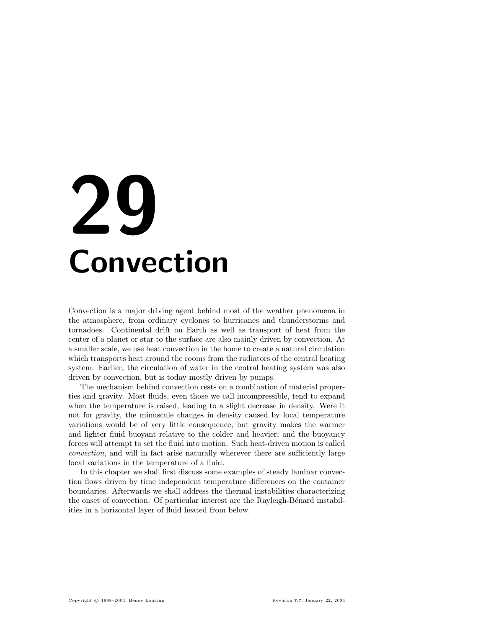# 29 Convection

Convection is a major driving agent behind most of the weather phenomena in the atmosphere, from ordinary cyclones to hurricanes and thunderstorms and tornadoes. Continental drift on Earth as well as transport of heat from the center of a planet or star to the surface are also mainly driven by convection. At a smaller scale, we use heat convection in the home to create a natural circulation which transports heat around the rooms from the radiators of the central heating system. Earlier, the circulation of water in the central heating system was also driven by convection, but is today mostly driven by pumps.

The mechanism behind convection rests on a combination of material properties and gravity. Most fluids, even those we call incompressible, tend to expand when the temperature is raised, leading to a slight decrease in density. Were it not for gravity, the minuscule changes in density caused by local temperature variations would be of very little consequence, but gravity makes the warmer and lighter fluid buoyant relative to the colder and heavier, and the buoyancy forces will attempt to set the fluid into motion. Such heat-driven motion is called convection, and will in fact arise naturally wherever there are sufficiently large local variations in the temperature of a fluid.

In this chapter we shall first discuss some examples of steady laminar convection flows driven by time independent temperature differences on the container boundaries. Afterwards we shall address the thermal instabilities characterizing the onset of convection. Of particular interest are the Rayleigh-Bénard instabilities in a horizontal layer of fluid heated from below.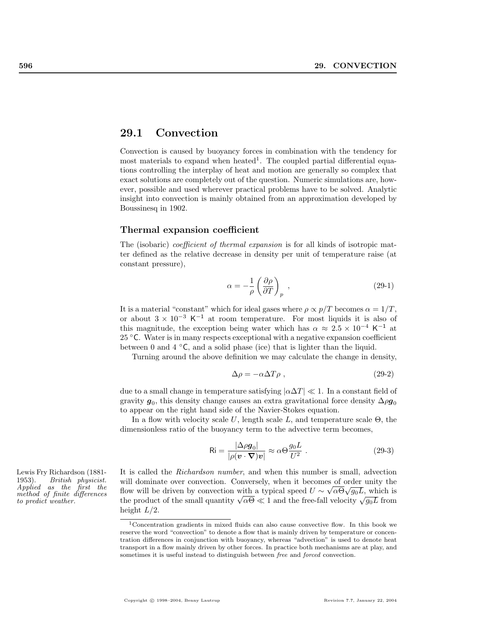# 29.1 Convection

Convection is caused by buoyancy forces in combination with the tendency for most materials to expand when heated<sup>1</sup>. The coupled partial differential equations controlling the interplay of heat and motion are generally so complex that exact solutions are completely out of the question. Numeric simulations are, however, possible and used wherever practical problems have to be solved. Analytic insight into convection is mainly obtained from an approximation developed by Boussinesq in 1902.

#### Thermal expansion coefficient

The (isobaric) *coefficient of thermal expansion* is for all kinds of isotropic matter defined as the relative decrease in density per unit of temperature raise (at constant pressure),

$$
\alpha = -\frac{1}{\rho} \left( \frac{\partial \rho}{\partial T} \right)_p , \qquad (29-1)
$$

It is a material "constant" which for ideal gases where  $\rho \propto p/T$  becomes  $\alpha = 1/T$ , or about  $3 \times 10^{-3}$  K<sup>-1</sup> at room temperature. For most liquids it is also of this magnitude, the exception being water which has  $\alpha \approx 2.5 \times 10^{-4}$  K<sup>-1</sup> at 25  $°C$ . Water is in many respects exceptional with a negative expansion coefficient between 0 and 4  $\degree$ C, and a solid phase (ice) that is lighter than the liquid.

Turning around the above definition we may calculate the change in density,

$$
\Delta \rho = -\alpha \Delta T \rho \tag{29-2}
$$

due to a small change in temperature satisfying  $|\alpha \Delta T| \ll 1$ . In a constant field of gravity  $\boldsymbol g_0$ , this density change causes an extra gravitational force density  $\Delta \rho \boldsymbol g_0$ to appear on the right hand side of the Navier-Stokes equation.

In a flow with velocity scale U, length scale L, and temperature scale  $\Theta$ , the dimensionless ratio of the buoyancy term to the advective term becomes,

$$
\text{Ri} = \frac{|\Delta \rho \mathbf{g}_0|}{|\rho(\mathbf{v} \cdot \nabla)\mathbf{v}|} \approx \alpha \Theta \frac{g_0 L}{U^2} \tag{29-3}
$$

Lewis Fry Richardson (1881- It is called the *Richardson number*, and when this number is small, advection will dominate over convection. Conversely, when it becomes of order unity the flow will be driven by convection with a typical speed  $U \sim \sqrt{\alpha} \Theta \sqrt{g_0 L}$ , which is flow will be driven by convection with a typical speed  $U \sim \sqrt{\alpha} \Theta \sqrt{g_0} L$ , which is the product of the small quantity  $\sqrt{\alpha \Theta} \ll 1$  and the free-fall velocity  $\sqrt{g_0} L$  from height  $L/2$ .

1953). British physicist. Applied as the first the method of finite differences to predict weather.

<sup>1</sup>Concentration gradients in mixed fluids can also cause convective flow. In this book we reserve the word "convection" to denote a flow that is mainly driven by temperature or concentration differences in conjunction with buoyancy, whereas "advection" is used to denote heat transport in a flow mainly driven by other forces. In practice both mechanisms are at play, and sometimes it is useful instead to distinguish between free and forced convection.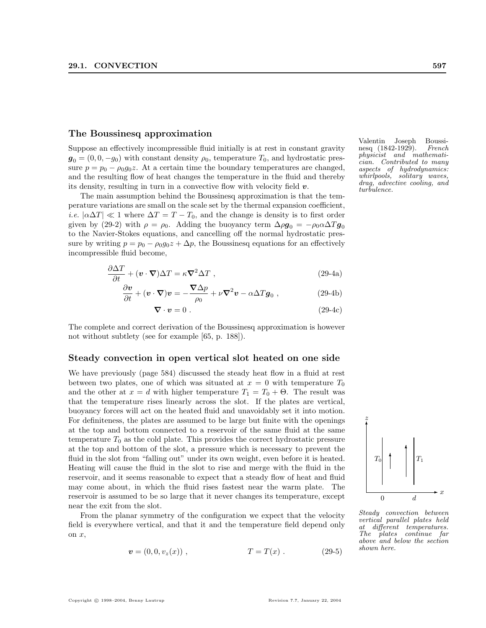## The Boussinesq approximation

Suppose an effectively incompressible fluid initially is at rest in constant gravity  $g_0 = (0, 0, -g_0)$  with constant density  $\rho_0$ , temperature  $T_0$ , and hydrostatic pressure  $p = p_0 - \rho_0 g_0 z$ . At a certain time the boundary temperatures are changed, and the resulting flow of heat changes the temperature in the fluid and thereby its density, resulting in turn in a convective flow with velocity field  $v$ .

The main assumption behind the Boussinesq approximation is that the temperature variations are small on the scale set by the thermal expansion coefficient, *i.e.*  $\alpha \Delta T \ll 1$  where  $\Delta T = T - T_0$ , and the change is density is to first order given by (29-2) with  $\rho = \rho_0$ . Adding the buoyancy term  $\Delta \rho g_0 = -\rho_0 \alpha \Delta T g_0$ to the Navier-Stokes equations, and cancelling off the normal hydrostatic pressure by writing  $p = p_0 - \rho_0 g_0 z + \Delta p$ , the Boussinesq equations for an effectively incompressible fluid become,

$$
\frac{\partial \Delta T}{\partial t} + (\mathbf{v} \cdot \nabla) \Delta T = \kappa \nabla^2 \Delta T , \qquad (29-4a)
$$

$$
\frac{\partial \mathbf{v}}{\partial t} + (\mathbf{v} \cdot \nabla) \mathbf{v} = -\frac{\nabla \Delta p}{\rho_0} + \nu \nabla^2 \mathbf{v} - \alpha \Delta T \mathbf{g}_0 , \qquad (29-4b)
$$

$$
\nabla \cdot \mathbf{v} = 0. \tag{29-4c}
$$

The complete and correct derivation of the Boussinesq approximation is however not without subtlety (see for example [65, p. 188]).

## Steady convection in open vertical slot heated on one side

We have previously (page 584) discussed the steady heat flow in a fluid at rest between two plates, one of which was situated at  $x = 0$  with temperature  $T_0$ and the other at  $x = d$  with higher temperature  $T_1 = T_0 + \Theta$ . The result was that the temperature rises linearly across the slot. If the plates are vertical, buoyancy forces will act on the heated fluid and unavoidably set it into motion. For definiteness, the plates are assumed to be large but finite with the openings at the top and bottom connected to a reservoir of the same fluid at the same temperature  $T_0$  as the cold plate. This provides the correct hydrostatic pressure at the top and bottom of the slot, a pressure which is necessary to prevent the fluid in the slot from "falling out" under its own weight, even before it is heated. Heating will cause the fluid in the slot to rise and merge with the fluid in the reservoir, and it seems reasonable to expect that a steady flow of heat and fluid may come about, in which the fluid rises fastest near the warm plate. The reservoir is assumed to be so large that it never changes its temperature, except near the exit from the slot.

From the planar symmetry of the configuration we expect that the velocity field is everywhere vertical, and that it and the temperature field depend only on x,

$$
\mathbf{v} = (0, 0, v_z(x)), \qquad T = T(x). \qquad (29-5)
$$

Copyright © 1998–2004, Benny Lautrup Revision 7.7, January 22, 2004

Valentin Joseph Boussinesq (1842-1929). French physicist and mathematician. Contributed to many aspects of hydrodynamics: whirlpools, solitary waves, drag, advective cooling, and turbulence.



Steady convection between vertical parallel plates held at different temperatures. The plates continue far above and below the section shown here.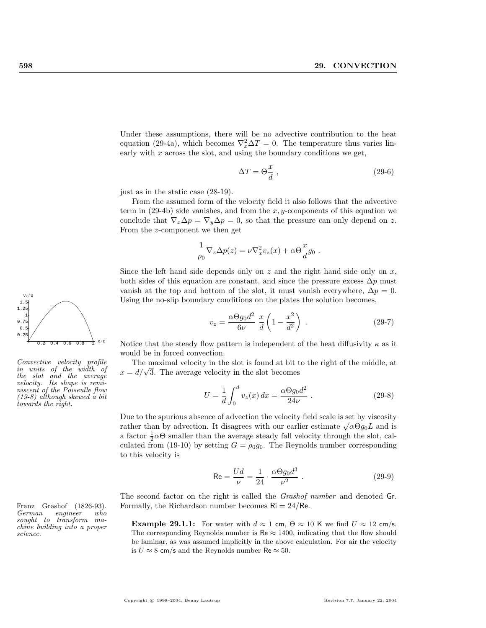Under these assumptions, there will be no advective contribution to the heat equation (29-4a), which becomes  $\nabla_x^2 \Delta T = 0$ . The temperature thus varies linearly with  $x$  across the slot, and using the boundary conditions we get,

$$
\Delta T = \Theta \frac{x}{d} \; , \tag{29-6}
$$

just as in the static case (28-19).

From the assumed form of the velocity field it also follows that the advective term in  $(29-4b)$  side vanishes, and from the x, y-components of this equation we conclude that  $\nabla_x \Delta p = \nabla_y \Delta p = 0$ , so that the pressure can only depend on z. From the z-component we then get

$$
\frac{1}{\rho_0} \nabla_z \Delta p(z) = \nu \nabla_x^2 v_z(x) + \alpha \Theta \frac{x}{d} g_0.
$$

Since the left hand side depends only on  $z$  and the right hand side only on  $x$ , both sides of this equation are constant, and since the pressure excess  $\Delta p$  must vanish at the top and bottom of the slot, it must vanish everywhere,  $\Delta p = 0$ . Using the no-slip boundary conditions on the plates the solution becomes,

$$
v_z = \frac{\alpha \Theta g_0 d^2}{6\nu} \frac{x}{d} \left( 1 - \frac{x^2}{d^2} \right) \tag{29-7}
$$

Notice that the steady flow pattern is independent of the heat diffusivity  $\kappa$  as it would be in forced convection.

The maximal velocity in the slot is found at bit to the right of the middle, at The maximal velocity in the slot is found at bit t<br> $x = d/\sqrt{3}$ . The average velocity in the slot becomes

$$
U = \frac{1}{d} \int_0^d v_z(x) \, dx = \frac{\alpha \Theta g_0 d^2}{24\nu} \,. \tag{29-8}
$$

Due to the spurious absence of advection the velocity field scale is set by viscosity Due to the spurious absence of advection the velocity held scale is set by viscosity rather than by advection. It disagrees with our earlier estimate  $\sqrt{\alpha \Theta g_0 L}$  and is a factor  $\frac{1}{2}\alpha\Theta$  smaller than the average steady fall velocity through the slot, calculated from (19-10) by setting  $G = \rho_0 g_0$ . The Reynolds number corresponding to this velocity is

$$
\text{Re} = \frac{Ud}{\nu} = \frac{1}{24} \cdot \frac{\alpha \Theta g_0 d^3}{\nu^2} \tag{29-9}
$$

The second factor on the right is called the *Grashof number* and denoted Gr. Franz Grashof (1826-93). Formally, the Richardson number becomes  $\mathsf{Ri} = 24/\mathsf{Re}$ .<br>German engineer who

> **Example 29.1.1:** For water with  $d \approx 1$  cm,  $\Theta \approx 10$  K we find  $U \approx 12$  cm/s. The corresponding Reynolds number is  $\text{Re} \approx 1400$ , indicating that the flow should be laminar, as was assumed implicitly in the above calculation. For air the velocity is  $U \approx 8$  cm/s and the Reynolds number Re  $\approx 50$ .



Convective velocity profile in units of the width of the slot and the average velocity. Its shape is reminiscent of the Poiseulle flow (19-8) although skewed a bit towards the right.

 $en a ineer \qquad who$ sought to transform machine building into a proper science.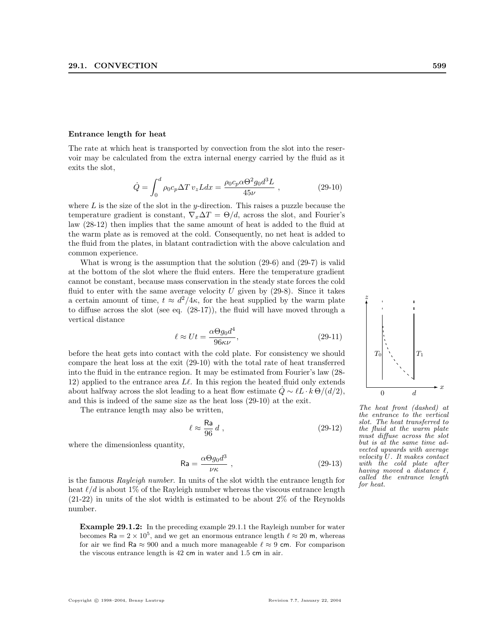#### Entrance length for heat

The rate at which heat is transported by convection from the slot into the reservoir may be calculated from the extra internal energy carried by the fluid as it exits the slot,

$$
\dot{Q} = \int_0^d \rho_0 c_p \Delta T \, v_z L dx = \frac{\rho_0 c_p \alpha \Theta^2 g_0 d^3 L}{45 \nu} \,, \tag{29-10}
$$

where  $L$  is the size of the slot in the y-direction. This raises a puzzle because the temperature gradient is constant,  $\nabla_{x}\Delta T = \Theta/d$ , across the slot, and Fourier's law (28-12) then implies that the same amount of heat is added to the fluid at the warm plate as is removed at the cold. Consequently, no net heat is added to the fluid from the plates, in blatant contradiction with the above calculation and common experience.

What is wrong is the assumption that the solution (29-6) and (29-7) is valid at the bottom of the slot where the fluid enters. Here the temperature gradient cannot be constant, because mass conservation in the steady state forces the cold fluid to enter with the same average velocity  $U$  given by  $(29-8)$ . Since it takes a certain amount of time,  $t \approx d^2/4\kappa$ , for the heat supplied by the warm plate to diffuse across the slot (see eq. (28-17)), the fluid will have moved through a vertical distance

$$
\ell \approx Ut = \frac{\alpha \Theta g_0 d^4}{96\kappa \nu},\tag{29-11}
$$

before the heat gets into contact with the cold plate. For consistency we should compare the heat loss at the exit (29-10) with the total rate of heat transferred into the fluid in the entrance region. It may be estimated from Fourier's law (28- 12) applied to the entrance area  $L\ell$ . In this region the heated fluid only extends about halfway across the slot leading to a heat flow estimate  $\dot{Q} \sim \ell L \cdot k \Theta/(d/2)$ , and this is indeed of the same size as the heat loss (29-10) at the exit.

The entrance length may also be written,

$$
\ell \approx \frac{\text{Ra}}{96} \, d \;, \tag{29-12}
$$

where the dimensionless quantity,

$$
\mathsf{Ra} = \frac{\alpha \Theta g_0 d^3}{\nu \kappa} \,,\tag{29-13}
$$

is the famous Rayleigh number. In units of the slot width the entrance length for heat  $\ell/d$  is about 1% of the Rayleigh number whereas the viscous entrance length (21-22) in units of the slot width is estimated to be about 2% of the Reynolds number.

Example 29.1.2: In the preceding example 29.1.1 the Rayleigh number for water becomes  $\text{Ra} = 2 \times 10^5$ , and we get an enormous entrance length  $\ell \approx 20$  m, whereas for air we find Ra  $\approx 900$  and a much more manageable  $\ell \approx 9$  cm. For comparison the viscous entrance length is 42 cm in water and 1.5 cm in air.



The heat front (dashed) at the entrance to the vertical slot. The heat transferred to the fluid at the warm plate must diffuse across the slot but is at the same time advected upwards with average velocity U. It makes contact with the cold plate after having moved a distance  $\ell$ called the entrance length for heat.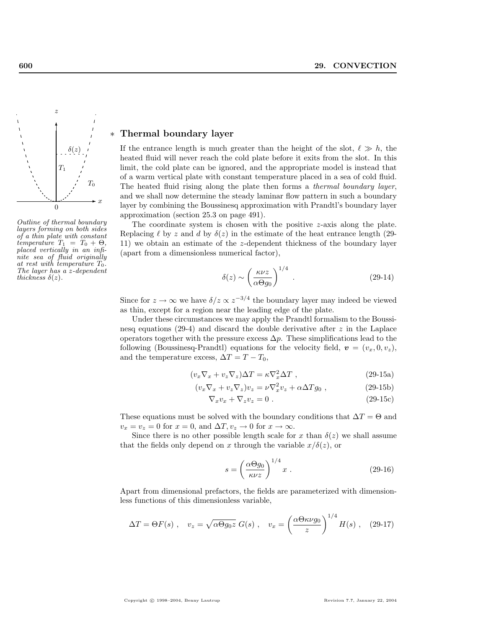

Outline of thermal boundary layers forming on both sides of a thin plate with constant temperature  $T_1 = T_0 + \Theta$ , placed vertically in an infinite sea of fluid originally at rest with temperature  $T_0$ . The layer has a *z*-dependent thickness  $\delta(z)$ .

# Thermal boundary layer

If the entrance length is much greater than the height of the slot,  $\ell \gg h$ , the heated fluid will never reach the cold plate before it exits from the slot. In this limit, the cold plate can be ignored, and the appropriate model is instead that of a warm vertical plate with constant temperature placed in a sea of cold fluid. The heated fluid rising along the plate then forms a thermal boundary layer, and we shall now determine the steady laminar flow pattern in such a boundary layer by combining the Boussinesq approximation with Prandtl's boundary layer approximation (section 25.3 on page 491).

The coordinate system is chosen with the positive z-axis along the plate. Replacing  $\ell$  by z and d by  $\delta(z)$  in the estimate of the heat entrance length (29-11) we obtain an estimate of the z-dependent thickness of the boundary layer (apart from a dimensionless numerical factor),

$$
\delta(z) \sim \left(\frac{\kappa \nu z}{\alpha \Theta g_0}\right)^{1/4} . \tag{29-14}
$$

Since for  $z \to \infty$  we have  $\delta/z \propto z^{-3/4}$  the boundary layer may indeed be viewed as thin, except for a region near the leading edge of the plate.

Under these circumstances we may apply the Prandtl formalism to the Boussinesq equations (29-4) and discard the double derivative after  $z$  in the Laplace operators together with the pressure excess  $\Delta p$ . These simplifications lead to the following (Boussinesq-Prandtl) equations for the velocity field,  $\mathbf{v} = (v_x, 0, v_z)$ , and the temperature excess,  $\Delta T = T - T_0$ ,

$$
(v_x \nabla_x + v_z \nabla_z) \Delta T = \kappa \nabla_x^2 \Delta T , \qquad (29-15a)
$$

$$
(v_x \nabla_x + v_z \nabla_z)v_z = \nu \nabla_x^2 v_z + \alpha \Delta T g_0 , \qquad (29-15b)
$$

$$
\nabla_x v_x + \nabla_z v_z = 0. \qquad (29-15c)
$$

These equations must be solved with the boundary conditions that  $\Delta T = \Theta$  and  $v_x = v_z = 0$  for  $x = 0$ , and  $\Delta T, v_z \to 0$  for  $x \to \infty$ .

Since there is no other possible length scale for x than  $\delta(z)$  we shall assume that the fields only depend on x through the variable  $x/\delta(z)$ , or

$$
s = \left(\frac{\alpha \Theta g_0}{\kappa \nu z}\right)^{1/4} x \,. \tag{29-16}
$$

Apart from dimensional prefactors, the fields are parameterized with dimensionless functions of this dimensionless variable,

$$
\Delta T = \Theta F(s) , \quad v_z = \sqrt{\alpha \Theta g_0 z} \ G(s) , \quad v_x = \left(\frac{\alpha \Theta \kappa \nu g_0}{z}\right)^{1/4} H(s) , \quad (29-17)
$$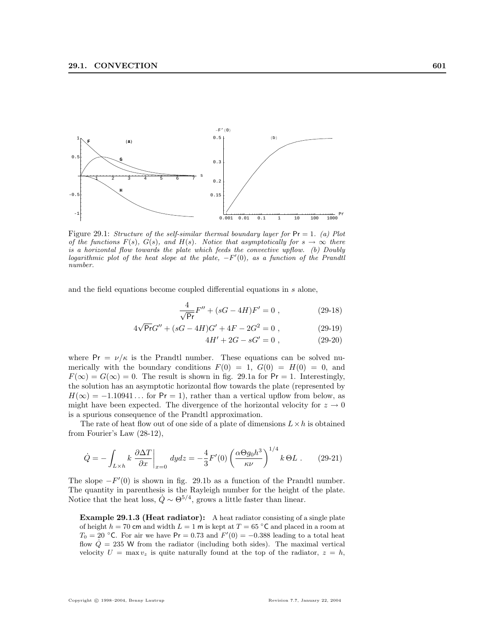

Figure 29.1: Structure of the self-similar thermal boundary layer for  $Pr = 1$ . (a) Plot of the functions  $F(s)$ ,  $G(s)$ , and  $H(s)$ . Notice that asymptotically for  $s \to \infty$  there is a horizontal flow towards the plate which feeds the convective upflow. (b) Doubly logarithmic plot of the heat slope at the plate,  $-F'(0)$ , as a function of the Prandtl number.

and the field equations become coupled differential equations in s alone,

$$
\frac{4}{\sqrt{\mathsf{Pr}}} F'' + (sG - 4H)F' = 0 , \qquad (29-18)
$$

$$
4\sqrt{Pr}G'' + (sG - 4H)G' + 4F - 2G^2 = 0,
$$
\n(29-19)

$$
4H' + 2G - sG' = 0 , \t(29-20)
$$

where  $Pr = \nu/\kappa$  is the Prandtl number. These equations can be solved numerically with the boundary conditions  $F(0) = 1$ ,  $G(0) = H(0) = 0$ , and  $F(\infty) = G(\infty) = 0$ . The result is shown in fig. 29.1a for Pr = 1. Interestingly, the solution has an asymptotic horizontal flow towards the plate (represented by  $H(\infty) = -1.10941...$  for Pr = 1), rather than a vertical upflow from below, as might have been expected. The divergence of the horizontal velocity for  $z \to 0$ is a spurious consequence of the Prandtl approximation.

The rate of heat flow out of one side of a plate of dimensions  $L \times h$  is obtained from Fourier's Law (28-12),

$$
\dot{Q} = -\int_{L\times h} k \left.\frac{\partial \Delta T}{\partial x}\right|_{x=0} dydz = -\frac{4}{3}F'(0)\left(\frac{\alpha \Theta g_0 h^3}{\kappa \nu}\right)^{1/4} k \,\Theta L \; . \eqno(29-21)
$$

The slope  $-F'(0)$  is shown in fig. 29.1b as a function of the Prandtl number. The quantity in parenthesis is the Rayleigh number for the height of the plate. Notice that the heat loss,  $\dot{Q} \sim \Theta^{5/4}$ , grows a little faster than linear.

Example 29.1.3 (Heat radiator): A heat radiator consisting of a single plate of height  $h = 70$  cm and width  $L = 1$  m is kept at  $T = 65 °C$  and placed in a room at  $T_0 = 20$  °C. For air we have Pr = 0.73 and  $F'(0) = -0.388$  leading to a total heat flow  $\dot{Q} = 235$  W from the radiator (including both sides). The maximal vertical velocity  $U = \max v_z$  is quite naturally found at the top of the radiator,  $z = h$ ,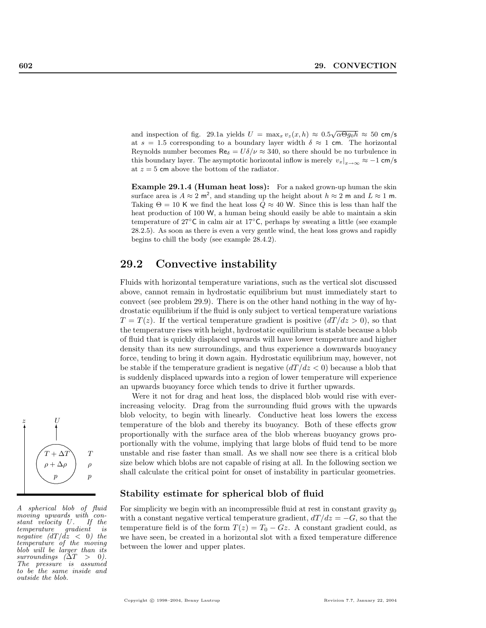and inspection of fig. 29.1a yields  $U = \max_x v_z(x, h) \approx 0.5\sqrt{\alpha \Theta g_0 h} \approx 50$  cm/s at  $s = 1.5$  corresponding to a boundary layer width  $\delta \approx 1$  cm. The horizontal Reynolds number becomes  $\text{Re}_{\delta} = U \delta / \nu \approx 340$ , so there should be no turbulence in this boundary layer. The asymptotic horizontal inflow is merely  $v_x|_{x\to\infty} \approx -1$  cm/s at  $z = 5$  cm above the bottom of the radiator.

Example 29.1.4 (Human heat loss): For a naked grown-up human the skin surface area is  $A \approx 2 \text{ m}^2$ , and standing up the height about  $h \approx 2 \text{ m}$  and  $L \approx 1 \text{ m}$ . Taking  $\Theta = 10$  K we find the heat loss  $\dot{Q} \approx 40$  W. Since this is less than half the heat production of 100 W, a human being should easily be able to maintain a skin temperature of 27◦C in calm air at 17◦C, perhaps by sweating a little (see example 28.2.5). As soon as there is even a very gentle wind, the heat loss grows and rapidly begins to chill the body (see example 28.4.2).

# 29.2 Convective instability

Fluids with horizontal temperature variations, such as the vertical slot discussed above, cannot remain in hydrostatic equilibrium but must immediately start to convect (see problem 29.9). There is on the other hand nothing in the way of hydrostatic equilibrium if the fluid is only subject to vertical temperature variations  $T = T(z)$ . If the vertical temperature gradient is positive  $\left(\frac{dT}{dz} > 0\right)$ , so that the temperature rises with height, hydrostatic equilibrium is stable because a blob of fluid that is quickly displaced upwards will have lower temperature and higher density than its new surroundings, and thus experience a downwards buoyancy force, tending to bring it down again. Hydrostatic equilibrium may, however, not be stable if the temperature gradient is negative  $\left(\frac{dT}{dz}\right)$  because a blob that is suddenly displaced upwards into a region of lower temperature will experience an upwards buoyancy force which tends to drive it further upwards.

Were it not for drag and heat loss, the displaced blob would rise with everincreasing velocity. Drag from the surrounding fluid grows with the upwards blob velocity, to begin with linearly. Conductive heat loss lowers the excess temperature of the blob and thereby its buoyancy. Both of these effects grow proportionally with the surface area of the blob whereas buoyancy grows proportionally with the volume, implying that large blobs of fluid tend to be more unstable and rise faster than small. As we shall now see there is a critical blob size below which blobs are not capable of rising at all. In the following section we shall calculate the critical point for onset of instability in particular geometries.

#### Stability estimate for spherical blob of fluid

For simplicity we begin with an incompressible fluid at rest in constant gravity  $g_0$ with a constant negative vertical temperature gradient,  $dT/dz = -G$ , so that the temperature field is of the form  $T(z) = T_0 - Gz$ . A constant gradient could, as we have seen, be created in a horizontal slot with a fixed temperature difference between the lower and upper plates.



A spherical blob of fluid  $moving$  upwards with constant velocity  $U$ . If the stant velocity  $U$ . temperature gradient is negative  $\left(\frac{dT}{dz} \right)$  the temperature of the moving blob will be larger than its surroundings  $(\Delta T > 0)$ . The pressure is assumed to be the same inside and outside the blob.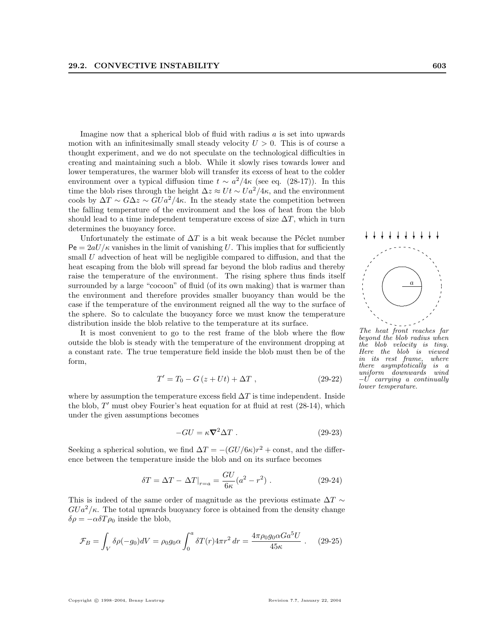Imagine now that a spherical blob of fluid with radius  $a$  is set into upwards motion with an infinitesimally small steady velocity  $U > 0$ . This is of course a thought experiment, and we do not speculate on the technological difficulties in creating and maintaining such a blob. While it slowly rises towards lower and lower temperatures, the warmer blob will transfer its excess of heat to the colder environment over a typical diffusion time  $t \sim a^2/4\kappa$  (see eq. (28-17)). In this time the blob rises through the height  $\Delta z \approx U t \sim U a^2/4\kappa$ , and the environment cools by  $\Delta T \sim G \Delta z \sim G U a^2/4\kappa$ . In the steady state the competition between the falling temperature of the environment and the loss of heat from the blob should lead to a time independent temperature excess of size  $\Delta T$ , which in turn determines the buoyancy force.

Unfortunately the estimate of  $\Delta T$  is a bit weak because the Péclet number  $Pe = 2aU/\kappa$  vanishes in the limit of vanishing U. This implies that for sufficiently small  $U$  advection of heat will be negligible compared to diffusion, and that the heat escaping from the blob will spread far beyond the blob radius and thereby raise the temperature of the environment. The rising sphere thus finds itself surrounded by a large "cocoon" of fluid (of its own making) that is warmer than the environment and therefore provides smaller buoyancy than would be the case if the temperature of the environment reigned all the way to the surface of the sphere. So to calculate the buoyancy force we must know the temperature distribution inside the blob relative to the temperature at its surface.

It is most convenient to go to the rest frame of the blob where the flow outside the blob is steady with the temperature of the environment dropping at a constant rate. The true temperature field inside the blob must then be of the form,

$$
T' = T_0 - G(z + Ut) + \Delta T , \qquad (29-22)
$$

where by assumption the temperature excess field  $\Delta T$  is time independent. Inside the blob,  $T'$  must obey Fourier's heat equation for at fluid at rest  $(28-14)$ , which under the given assumptions becomes

$$
-GU = \kappa \nabla^2 \Delta T \ . \tag{29-23}
$$

Seeking a spherical solution, we find  $\Delta T = -(GU/6\kappa)r^2 + \text{const}$ , and the difference between the temperature inside the blob and on its surface becomes

$$
\delta T = \Delta T - \Delta T|_{r=a} = \frac{GU}{6\kappa} (a^2 - r^2) . \tag{29-24}
$$

This is indeed of the same order of magnitude as the previous estimate  $\Delta T \sim$  $GUa<sup>2</sup>/\kappa$ . The total upwards buoyancy force is obtained from the density change  $\delta \rho = -\alpha \delta T \rho_0$  inside the blob,

$$
\mathcal{F}_B = \int_V \delta \rho(-g_0) dV = \rho_0 g_0 \alpha \int_0^a \delta T(r) 4\pi r^2 dr = \frac{4\pi \rho_0 g_0 \alpha G a^5 U}{45\kappa} \ . \tag{29-25}
$$



The heat front reaches far beyond the blob radius when the blob velocity is tiny. Here the blob is viewed in its rest frame, where there asymptotically is a uniform downwards wind  $-U$  carrying a continually lower temperature.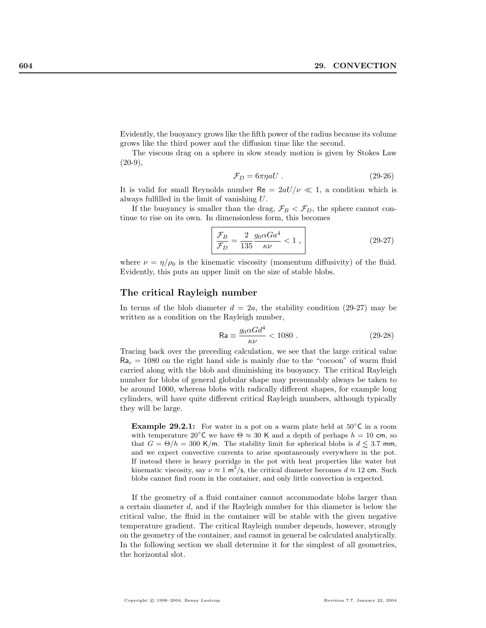Evidently, the buoyancy grows like the fifth power of the radius because its volume grows like the third power and the diffusion time like the second.

The viscous drag on a sphere in slow steady motion is given by Stokes Law  $(20-9)$ ,

$$
\mathcal{F}_D = 6\pi \eta a U \tag{29-26}
$$

It is valid for small Reynolds number Re  $= 2aU/\nu \ll 1$ , a condition which is always fulfilled in the limit of vanishing U.

If the buoyancy is smaller than the drag,  $\mathcal{F}_B < \mathcal{F}_D$ , the sphere cannot continue to rise on its own. In dimensionless form, this becomes

$$
\frac{\mathcal{F}_B}{\mathcal{F}_D} = \frac{2}{135} \frac{g_0 \alpha G a^4}{\kappa \nu} < 1 \,,\tag{29-27}
$$

where  $\nu = \eta/\rho_0$  is the kinematic viscosity (momentum diffusivity) of the fluid. Evidently, this puts an upper limit on the size of stable blobs.

#### The critical Rayleigh number

In terms of the blob diameter  $d = 2a$ , the stability condition (29-27) may be written as a condition on the Rayleigh number,

$$
\mathsf{Ra} \equiv \frac{g_0 \alpha G d^4}{\kappa \nu} < 1080 \tag{29-28}
$$

Tracing back over the preceding calculation, we see that the large critical value  $Ra_c = 1080$  on the right hand side is mainly due to the "cocoon" of warm fluid carried along with the blob and diminishing its buoyancy. The critical Rayleigh number for blobs of general globular shape may presumably always be taken to be around 1000, whereas blobs with radically different shapes, for example long cylinders, will have quite different critical Rayleigh numbers, although typically they will be large.

**Example 29.2.1:** For water in a pot on a warm plate held at  $50^{\circ}$ C in a room with temperature 20 $^{\circ}$ C we have  $\Theta \approx 30$  K and a depth of perhaps  $h = 10$  cm, so that  $G = \Theta/h = 300$  K/m. The stability limit for spherical blobs is  $d \leq 3.7$  mm, and we expect convective currents to arise spontaneously everywhere in the pot. If instead there is heavy porridge in the pot with heat properties like water but kinematic viscosity, say  $\nu \approx 1 \text{ m}^2/\text{s}$ , the critical diameter becomes  $d \approx 12 \text{ cm}$ . Such blobs cannot find room in the container, and only little convection is expected.

If the geometry of a fluid container cannot accommodate blobs larger than a certain diameter d, and if the Rayleigh number for this diameter is below the critical value, the fluid in the container will be stable with the given negative temperature gradient. The critical Rayleigh number depends, however, strongly on the geometry of the container, and cannot in general be calculated analytically. In the following section we shall determine it for the simplest of all geometries, the horizontal slot.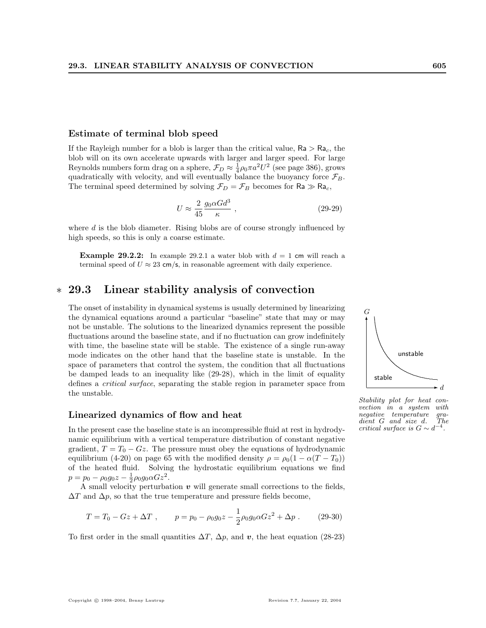#### Estimate of terminal blob speed

If the Rayleigh number for a blob is larger than the critical value,  $Ra > Ra_c$ , the blob will on its own accelerate upwards with larger and larger speed. For large Reynolds numbers form drag on a sphere,  $\mathcal{F}_D \approx \frac{1}{4} \rho_0 \pi a^2 U^2$  (see page 386), grows quadratically with velocity, and will eventually balance the buoyancy force  $\mathcal{F}_B$ . The terminal speed determined by solving  $\mathcal{F}_D = \mathcal{F}_B$  becomes for  $\mathsf{Ra} \gg \mathsf{Ra}_c$ ,

$$
U \approx \frac{2}{45} \frac{g_0 \alpha G d^3}{\kappa} \tag{29-29}
$$

where d is the blob diameter. Rising blobs are of course strongly influenced by high speeds, so this is only a coarse estimate.

**Example 29.2.2:** In example 29.2.1 a water blob with  $d = 1$  cm will reach a terminal speed of  $U \approx 23$  cm/s, in reasonable agreement with daily experience.

# ∗ 29.3 Linear stability analysis of convection

The onset of instability in dynamical systems is usually determined by linearizing the dynamical equations around a particular "baseline" state that may or may not be unstable. The solutions to the linearized dynamics represent the possible fluctuations around the baseline state, and if no fluctuation can grow indefinitely with time, the baseline state will be stable. The existence of a single run-away mode indicates on the other hand that the baseline state is unstable. In the space of parameters that control the system, the condition that all fluctuations be damped leads to an inequality like (29-28), which in the limit of equality defines a critical surface, separating the stable region in parameter space from the unstable.

#### Linearized dynamics of flow and heat

In the present case the baseline state is an incompressible fluid at rest in hydrodynamic equilibrium with a vertical temperature distribution of constant negative gradient,  $T = T_0 - Gz$ . The pressure must obey the equations of hydrodynamic equilibrium (4-20) on page 65 with the modified density  $\rho = \rho_0(1 - \alpha(T - T_0))$ of the heated fluid. Solving the hydrostatic equilibrium equations we find  $p = p_0 - \rho_0 g_0 z - \frac{1}{2} \rho_0 g_0 \alpha G z^2.$ 

A small velocity perturbation  $v$  will generate small corrections to the fields,  $\Delta T$  and  $\Delta p$ , so that the true temperature and pressure fields become,

$$
T = T_0 - Gz + \Delta T , \qquad p = p_0 - \rho_0 g_0 z - \frac{1}{2} \rho_0 g_0 \alpha G z^2 + \Delta p . \qquad (29-30)
$$

To first order in the small quantities  $\Delta T$ ,  $\Delta p$ , and v, the heat equation (28-23)



Stability plot for heat convection in a system with<br>negative temperature gra $negative \quad temperature \quad gradient \quad G \quad and \quad size \quad d. \quad The$  $dient$   $G$  and  $size$   $d$ . critical surface is  $G \sim d^{-4}$ .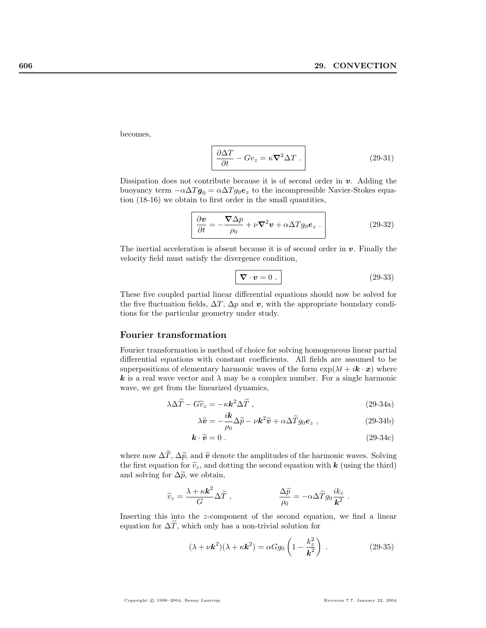becomes,

$$
\frac{\partial \Delta T}{\partial t} - Gv_z = \kappa \nabla^2 \Delta T \,. \tag{29-31}
$$

Dissipation does not contribute because it is of second order in  $v$ . Adding the buoyancy term  $-\alpha \Delta T g_0 = \alpha \Delta T g_0 e_z$  to the incompressible Navier-Stokes equation (18-16) we obtain to first order in the small quantities,

$$
\frac{\partial \mathbf{v}}{\partial t} = -\frac{\nabla \Delta p}{\rho_0} + \nu \nabla^2 \mathbf{v} + \alpha \Delta T g_0 \mathbf{e}_z \ . \tag{29-32}
$$

The inertial acceleration is absent because it is of second order in  $v$ . Finally the velocity field must satisfy the divergence condition,

$$
\nabla \cdot \mathbf{v} = 0 \tag{29-33}
$$

These five coupled partial linear differential equations should now be solved for the five fluctuation fields,  $\Delta T$ ,  $\Delta p$  and v, with the appropriate boundary conditions for the particular geometry under study.

#### Fourier transformation

Fourier transformation is method of choice for solving homogeneous linear partial differential equations with constant coefficients. All fields are assumed to be superpositions of elementary harmonic waves of the form  $\exp(\lambda t + i\mathbf{k} \cdot \mathbf{x})$  where k is a real wave vector and  $\lambda$  may be a complex number. For a single harmonic wave, we get from the linearized dynamics,

$$
\lambda \Delta \widetilde{T} - G \widetilde{v}_z = -\kappa \mathbf{k}^2 \Delta \widetilde{T} , \qquad (29-34a)
$$

$$
\lambda \widetilde{\mathbf{v}} = -\frac{i\mathbf{k}}{\rho_0} \Delta \widetilde{p} - \nu \mathbf{k}^2 \widetilde{\mathbf{v}} + \alpha \Delta \widetilde{T} g_0 \mathbf{e}_z , \qquad (29-34b)
$$

$$
\mathbf{k} \cdot \widetilde{\mathbf{v}} = 0 \tag{29-34c}
$$

where now  $\Delta \widetilde{T}$ ,  $\Delta \widetilde{p}$ , and  $\widetilde{v}$  denote the amplitudes of the harmonic waves. Solving the first equation for  $\tilde{v}_z$ , and dotting the second equation with **k** (using the third) and solving for  $\Delta \tilde{p}$ , we obtain,

$$
\widetilde{v}_z = \frac{\lambda + \kappa \textbf{k}^2}{G} \Delta \widetilde{T} \ , \qquad \qquad \frac{\Delta \widetilde{p}}{\rho_0} = - \alpha \Delta \widetilde{T} g_0 \frac{ik_z}{\textbf{k}^2}
$$

Inserting this into the z-component of the second equation, we find a linear equation for  $\Delta T$ , which only has a non-trivial solution for

$$
(\lambda + \nu \mathbf{k}^2)(\lambda + \kappa \mathbf{k}^2) = \alpha G g_0 \left( 1 - \frac{k_z^2}{\mathbf{k}^2} \right) . \tag{29-35}
$$

.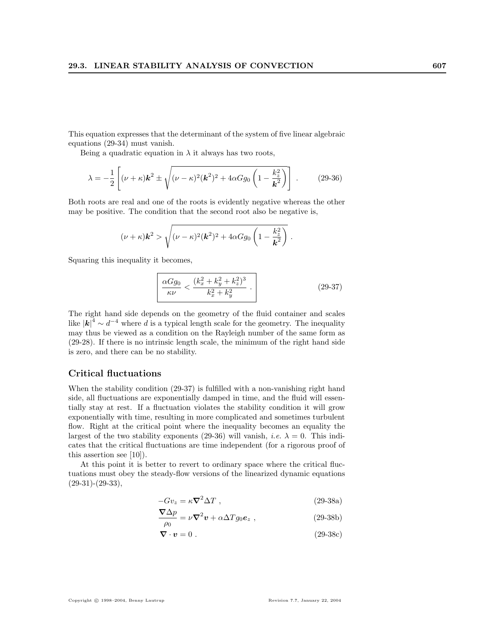This equation expresses that the determinant of the system of five linear algebraic equations (29-34) must vanish.

Being a quadratic equation in  $\lambda$  it always has two roots,

$$
\lambda = -\frac{1}{2} \left[ (\nu + \kappa) \mathbf{k}^2 \pm \sqrt{(\nu - \kappa)^2 (\mathbf{k}^2)^2 + 4\alpha G g_0 \left( 1 - \frac{k_z^2}{\mathbf{k}^2} \right)} \right].
$$
 (29-36)

Both roots are real and one of the roots is evidently negative whereas the other may be positive. The condition that the second root also be negative is,

$$
(\nu+\kappa)\mathbf{k}^2 > \sqrt{(\nu-\kappa)^2(\mathbf{k}^2)^2 + 4\alpha Gg_0\left(1-\frac{k_z^2}{\mathbf{k}^2}\right)}.
$$

Squaring this inequality it becomes,

$$
\frac{\alpha G g_0}{\kappa \nu} < \frac{(k_x^2 + k_y^2 + k_z^2)^3}{k_x^2 + k_y^2} \tag{29-37}
$$

The right hand side depends on the geometry of the fluid container and scales like  $|k|^4 \sim d^{-4}$  where d is a typical length scale for the geometry. The inequality may thus be viewed as a condition on the Rayleigh number of the same form as (29-28). If there is no intrinsic length scale, the minimum of the right hand side is zero, and there can be no stability.

#### Critical fluctuations

When the stability condition  $(29-37)$  is fulfilled with a non-vanishing right hand side, all fluctuations are exponentially damped in time, and the fluid will essentially stay at rest. If a fluctuation violates the stability condition it will grow exponentially with time, resulting in more complicated and sometimes turbulent flow. Right at the critical point where the inequality becomes an equality the largest of the two stability exponents (29-36) will vanish, *i.e.*  $\lambda = 0$ . This indicates that the critical fluctuations are time independent (for a rigorous proof of this assertion see [10]).

At this point it is better to revert to ordinary space where the critical fluctuations must obey the steady-flow versions of the linearized dynamic equations  $(29-31)-(29-33),$ 

$$
-Gv_z = \kappa \nabla^2 \Delta T \t{, \t(29-38a)}
$$

$$
\frac{\nabla \Delta p}{\rho_0} = \nu \nabla^2 \mathbf{v} + \alpha \Delta T g_0 \mathbf{e}_z , \qquad (29-38b)
$$

$$
\nabla \cdot \mathbf{v} = 0. \tag{29-38c}
$$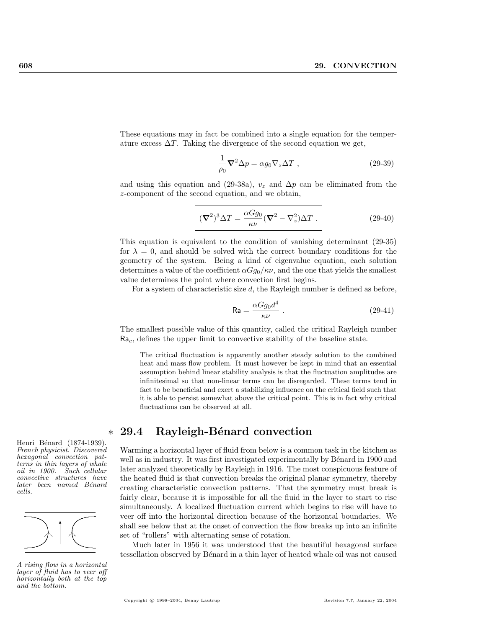These equations may in fact be combined into a single equation for the temperature excess  $\Delta T$ . Taking the divergence of the second equation we get,

$$
\frac{1}{\rho_0} \nabla^2 \Delta p = \alpha g_0 \nabla_z \Delta T , \qquad (29-39)
$$

and using this equation and (29-38a),  $v_z$  and  $\Delta p$  can be eliminated from the z-component of the second equation, and we obtain,

$$
\left( (\nabla^2)^3 \Delta T = \frac{\alpha G g_0}{\kappa \nu} (\nabla^2 - \nabla_z^2) \Delta T \right). \tag{29-40}
$$

This equation is equivalent to the condition of vanishing determinant (29-35) for  $\lambda = 0$ , and should be solved with the correct boundary conditions for the geometry of the system. Being a kind of eigenvalue equation, each solution determines a value of the coefficient  $\alpha Gg_0/\kappa\nu$ , and the one that yields the smallest value determines the point where convection first begins.

For a system of characteristic size d, the Rayleigh number is defined as before,

$$
\mathsf{Ra} = \frac{\alpha G g_0 d^4}{\kappa \nu} \tag{29-41}
$$

The smallest possible value of this quantity, called the critical Rayleigh number  $Ra_c$ , defines the upper limit to convective stability of the baseline state.

The critical fluctuation is apparently another steady solution to the combined heat and mass flow problem. It must however be kept in mind that an essential assumption behind linear stability analysis is that the fluctuation amplitudes are infinitesimal so that non-linear terms can be disregarded. These terms tend in fact to be beneficial and exert a stabilizing influence on the critical field such that it is able to persist somewhat above the critical point. This is in fact why critical fluctuations can be observed at all.

# ∗ 29.4 Rayleigh-B´enard convection

Warming a horizontal layer of fluid from below is a common task in the kitchen as well as in industry. It was first investigated experimentally by Bénard in 1900 and later analyzed theoretically by Rayleigh in 1916. The most conspicuous feature of the heated fluid is that convection breaks the original planar symmetry, thereby creating characteristic convection patterns. That the symmetry must break is fairly clear, because it is impossible for all the fluid in the layer to start to rise simultaneously. A localized fluctuation current which begins to rise will have to veer off into the horizontal direction because of the horizontal boundaries. We shall see below that at the onset of convection the flow breaks up into an infinite set of "rollers" with alternating sense of rotation.

Much later in 1956 it was understood that the beautiful hexagonal surface tessellation observed by Bénard in a thin layer of heated whale oil was not caused

Henri Bénard (1874-1939). French physicist. Discovered hexagonal convection patterns in thin layers of whale oil in 1900. Such cellular convective structures have later been named Bénard cells.



A rising flow in a horizontal layer of fluid has to veer off horizontally both at the top and the bottom.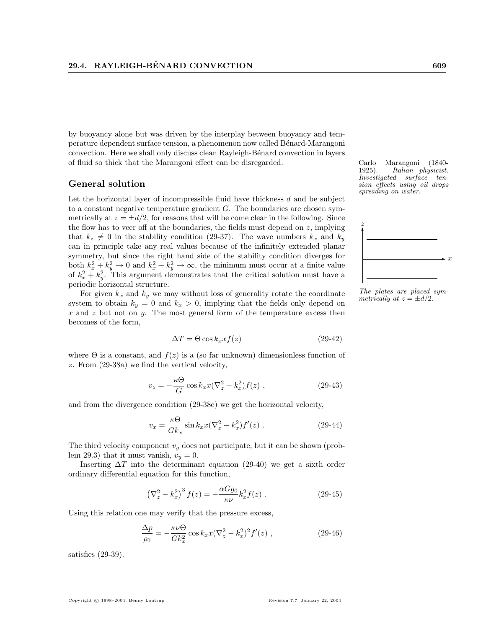by buoyancy alone but was driven by the interplay between buoyancy and temperature dependent surface tension, a phenomenon now called Bénard-Marangoni convection. Here we shall only discuss clean Rayleigh-Bénard convection in layers of fluid so thick that the Marangoni effect can be disregarded. Carlo Marangoni (1840-

#### General solution

Let the horizontal layer of incompressible fluid have thickness  $d$  and be subject to a constant negative temperature gradient  $G$ . The boundaries are chosen symmetrically at  $z = \pm d/2$ , for reasons that will be come clear in the following. Since the flow has to veer off at the boundaries, the fields must depend on  $z$ , implying that  $k_z \neq 0$  in the stability condition (29-37). The wave numbers  $k_x$  and  $k_y$ can in principle take any real values because of the infinitely extended planar symmetry, but since the right hand side of the stability condition diverges for both  $k_x^2 + k_y^2 \rightarrow 0$  and  $k_x^2 + k_y^2 \rightarrow \infty$ , the minimum must occur at a finite value of  $k_x^2 + k_y^2$ . This argument demonstrates that the critical solution must have a periodic horizontal structure.

For given  $k_x$  and  $k_y$  we may without loss of generality rotate the coordinate system to obtain  $k_y = 0$  and  $k_x > 0$ , implying that the fields only depend on  $x$  and  $z$  but not on  $y$ . The most general form of the temperature excess then becomes of the form,

$$
\Delta T = \Theta \cos k_x x f(z) \tag{29-42}
$$

where  $\Theta$  is a constant, and  $f(z)$  is a (so far unknown) dimensionless function of z. From (29-38a) we find the vertical velocity,

$$
v_z = -\frac{\kappa \Theta}{G} \cos k_x x (\nabla_z^2 - k_x^2) f(z) , \qquad (29-43)
$$

and from the divergence condition (29-38c) we get the horizontal velocity,

$$
v_x = \frac{\kappa \Theta}{G k_x} \sin k_x x (\nabla_z^2 - k_x^2) f'(z) . \qquad (29-44)
$$

The third velocity component  $v_y$  does not participate, but it can be shown (problem 29.3) that it must vanish,  $v_y = 0$ .

Inserting  $\Delta T$  into the determinant equation (29-40) we get a sixth order ordinary differential equation for this function,

$$
\left(\nabla_z^2 - k_x^2\right)^3 f(z) = -\frac{\alpha G g_0}{\kappa \nu} k_x^2 f(z) . \tag{29-45}
$$

Using this relation one may verify that the pressure excess,

$$
\frac{\Delta p}{\rho_0} = -\frac{\kappa \nu \Theta}{G k_x^2} \cos k_x x (\nabla_z^2 - k_x^2)^2 f'(z) , \qquad (29-46)
$$

satisfies (29-39).

1925). Italian physicist. Investigated surface tension effects using oil drops spreading on water.



The plates are placed symmetrically at  $z = \pm d/2$ .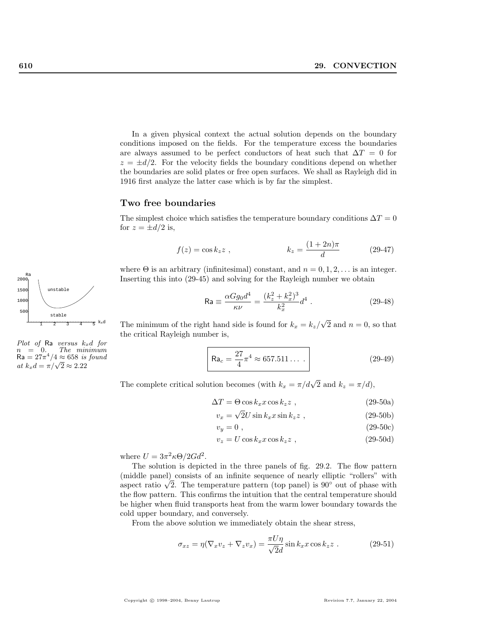In a given physical context the actual solution depends on the boundary conditions imposed on the fields. For the temperature excess the boundaries are always assumed to be perfect conductors of heat such that  $\Delta T = 0$  for  $z = \pm d/2$ . For the velocity fields the boundary conditions depend on whether the boundaries are solid plates or free open surfaces. We shall as Rayleigh did in 1916 first analyze the latter case which is by far the simplest.

#### Two free boundaries

The simplest choice which satisfies the temperature boundary conditions  $\Delta T = 0$ for  $z = \pm d/2$  is,

$$
f(z) = \cos k_z z , \qquad k_z = \frac{(1+2n)\pi}{d} \qquad (29-47)
$$

where  $\Theta$  is an arbitrary (infinitesimal) constant, and  $n = 0, 1, 2, \ldots$  is an integer. Inserting this into (29-45) and solving for the Rayleigh number we obtain

$$
\text{Ra} \equiv \frac{\alpha G g_0 d^4}{\kappa \nu} = \frac{(k_z^2 + k_x^2)^3}{k_x^2} d^4 \,. \tag{29-48}
$$

The minimum of the right hand side is found for  $k_x = k_z/$ √  $\overline{2}$  and  $n = 0$ , so that the critical Rayleigh number is,

$$
\mathsf{Ra}_c = \frac{27}{4}\pi^4 \approx 657.511\ldots \,. \tag{29-49}
$$

The complete critical solution becomes (with  $k_x = \pi/d\sqrt{2}$  and  $k_z = \pi/d$ ),

$$
\Delta T = \Theta \cos k_x x \cos k_z z \tag{29-50a}
$$

$$
v_x = \sqrt{2U} \sin k_x x \sin k_z z \tag{29-50b}
$$

$$
v_y = 0 \tag{29-50c}
$$

$$
v_z = U \cos k_x x \cos k_z z \tag{29-50d}
$$

where  $U = 3\pi^2 \kappa \Theta / 2Gd^2$ .

The solution is depicted in the three panels of fig. 29.2. The flow pattern (middle panel) consists of an infinite sequence of nearly elliptic "rollers" with (middle panel) consists of an infinite sequence of nearly elliptic "rollers" with aspect ratio  $\sqrt{2}$ . The temperature pattern (top panel) is 90° out of phase with the flow pattern. This confirms the intuition that the central temperature should be higher when fluid transports heat from the warm lower boundary towards the cold upper boundary, and conversely.

From the above solution we immediately obtain the shear stress,

$$
\sigma_{xz} = \eta (\nabla_x v_z + \nabla_z v_x) = \frac{\pi U \eta}{\sqrt{2}d} \sin k_x x \cos k_z z .
$$
 (29-51)



Plot of Ra versus  $k_xd$  for  $n = 0$ . The minimum  $Ra = 27\pi^4/4 \approx 658$  is found  $\kappa a = 27\pi / 4 \approx 0.08$  is<br>at  $k_x d = \pi / \sqrt{2} \approx 2.22$ 

2000 Ra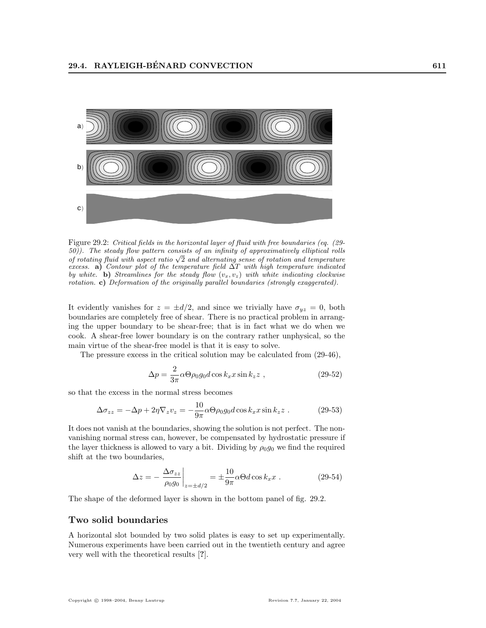

Figure 29.2: Critical fields in the horizontal layer of fluid with free boundaries (eq. (29- 50)). The steady flow pattern consists of an infinity of approximatively elliptical rolls  $\sigma(\sigma)$ . The steady flow pattern consists of an infinity of approximatively elliptical rolls of rotating fluid with aspect ratio  $\sqrt{2}$  and alternating sense of rotation and temperature excess. a) Contour plot of the temperature field  $\Delta T$  with high temperature indicated by white. b) Streamlines for the steady flow  $(v_x, v_z)$  with white indicating clockwise rotation. c) Deformation of the originally parallel boundaries (strongly exaggerated).

It evidently vanishes for  $z = \pm d/2$ , and since we trivially have  $\sigma_{yz} = 0$ , both boundaries are completely free of shear. There is no practical problem in arranging the upper boundary to be shear-free; that is in fact what we do when we cook. A shear-free lower boundary is on the contrary rather unphysical, so the main virtue of the shear-free model is that it is easy to solve.

The pressure excess in the critical solution may be calculated from (29-46),

$$
\Delta p = \frac{2}{3\pi} \alpha \Theta \rho_0 g_0 d \cos k_x x \sin k_z z , \qquad (29-52)
$$

so that the excess in the normal stress becomes

$$
\Delta \sigma_{zz} = -\Delta p + 2\eta \nabla_z v_z = -\frac{10}{9\pi} \alpha \Theta \rho_0 g_0 d \cos k_x x \sin k_z z . \qquad (29-53)
$$

It does not vanish at the boundaries, showing the solution is not perfect. The nonvanishing normal stress can, however, be compensated by hydrostatic pressure if the layer thickness is allowed to vary a bit. Dividing by  $\rho_0 q_0$  we find the required shift at the two boundaries,

$$
\Delta z = -\left. \frac{\Delta \sigma_{zz}}{\rho_0 g_0} \right|_{z = \pm d/2} = \pm \frac{10}{9\pi} \alpha \Theta d \cos k_x x \ . \tag{29-54}
$$

The shape of the deformed layer is shown in the bottom panel of fig. 29.2.

## Two solid boundaries

A horizontal slot bounded by two solid plates is easy to set up experimentally. Numerous experiments have been carried out in the twentieth century and agree very well with the theoretical results [?].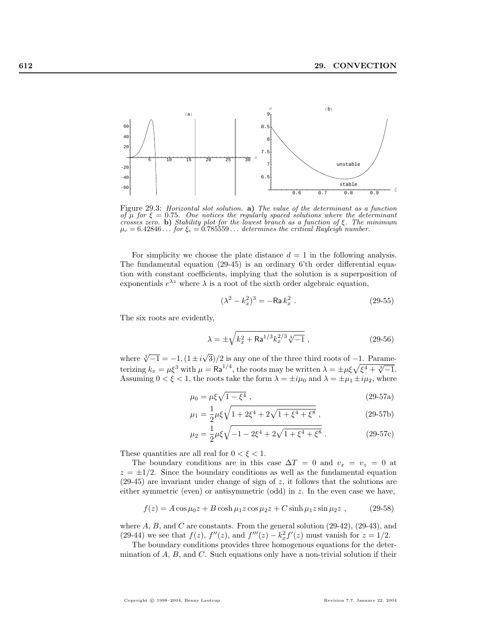

Figure 29.3: Horizontal slot solution. a) The value of the determinant as a function of  $\mu$  for  $\xi = 0.75$ . One notices the regularly spaced solutions where the determinant crosses zero. b) Stability plot for the lowest branch as a function of  $\xi$ . The minimum  $\mu_c = 6.42846...$  for  $\xi_c = 0.785559...$  determines the critical Rayleigh number.

For simplicity we choose the plate distance  $d = 1$  in the following analysis. The fundamental equation (29-45) is an ordinary 6'th order differential equation with constant coefficients, implying that the solution is a superposition of exponentials  $e^{\lambda z}$  where  $\lambda$  is a root of the sixth order algebraic equation,

$$
(\lambda^2 - k_x^2)^3 = -\text{Ra}\,k_x^2\,. \tag{29-55}
$$

The six roots are evidently,

$$
\lambda = \pm \sqrt{k_x^2 + \text{Ra}^{1/3} k_x^{2/3} \sqrt[3]{-1}} \,, \tag{29-56}
$$

where  $\sqrt[3]{-1} = -1$ ,  $(1 \pm i\sqrt{1})$  $3/2$  is any one of the three third roots of  $-1$ . Paramewhere  $\sqrt{-1} = -1$ ,  $(1 \pm i \sqrt{3})/2$  is any one of the three third roots of  $-1$ . Parameterizing  $k_x = \mu \xi^3$  with  $\mu = \text{Ra}^{1/4}$ , the roots may be written  $\lambda = \pm \mu \xi \sqrt{\xi^4 + \sqrt[3]{-1}}$ . Assuming  $0 < \xi < 1$ , the roots take the form  $\lambda = \pm i\mu_0$  and  $\lambda = \pm \mu_1 \pm i\mu_2$ , where

$$
\mu_0 = \mu \xi \sqrt{1 - \xi^4} \,, \tag{29-57a}
$$

$$
\mu_1 = \frac{1}{2}\mu\xi\sqrt{1 + 2\xi^4 + 2\sqrt{1 + \xi^4 + \xi^8}}\,,\tag{29-57b}
$$

$$
\mu_2 = \frac{1}{2}\mu\xi\sqrt{-1 - 2\xi^4 + 2\sqrt{1 + \xi^4 + \xi^8}}.
$$
\n(29-57c)

These quantities are all real for  $0 < \xi < 1$ .

The boundary conditions are in this case  $\Delta T = 0$  and  $v_x = v_z = 0$  at  $z = \pm 1/2$ . Since the boundary conditions as well as the fundamental equation  $(29-45)$  are invariant under change of sign of z, it follows that the solutions are either symmetric (even) or antisymmetric (odd) in z. In the even case we have,

$$
f(z) = A\cos\mu_0 z + B\cosh\mu_1 z \cos\mu_2 z + C\sinh\mu_1 z \sin\mu_2 z ,
$$
 (29-58)

where  $A, B$ , and  $C$  are constants. From the general solution  $(29-42)$ ,  $(29-43)$ , and (29-44) we see that  $f(z)$ ,  $f''(z)$ , and  $f'''(z) - k_x^2 f'(z)$  must vanish for  $z = 1/2$ .

The boundary conditions provides three homogenous equations for the determination of  $A$ ,  $B$ , and  $C$ . Such equations only have a non-trivial solution if their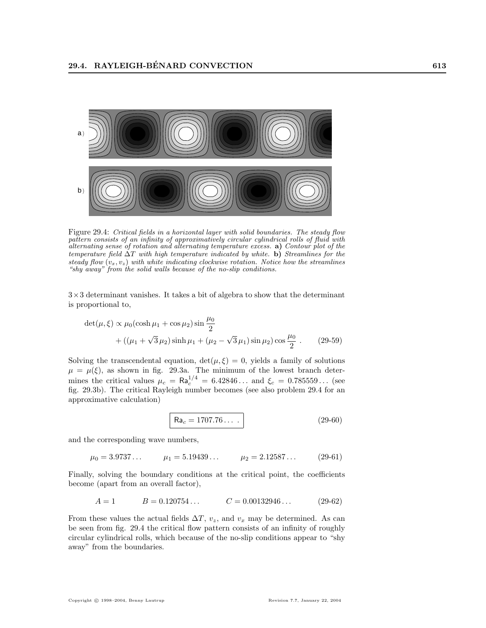

Figure 29.4: Critical fields in a horizontal layer with solid boundaries. The steady flow pattern consists of an infinity of approximatively circular cylindrical rolls of fluid with alternating sense of rotation and alternating temperature excess. a) Contour plot of the temperature field  $\Delta T$  with high temperature indicated by white. b) Streamlines for the steady flow  $(v_x, v_z)$  with white indicating clockwise rotation. Notice how the streamlines "shy away" from the solid walls because of the no-slip conditions.

 $3\times3$  determinant vanishes. It takes a bit of algebra to show that the determinant is proportional to,

$$
\det(\mu, \xi) \propto \mu_0 (\cosh \mu_1 + \cos \mu_2) \sin \frac{\mu_0}{2}
$$
  
 
$$
+ ((\mu_1 + \sqrt{3}\mu_2) \sinh \mu_1 + (\mu_2 - \sqrt{3}\mu_1) \sin \mu_2) \cos \frac{\mu_0}{2} . \qquad (29-59)
$$

Solving the transcendental equation,  $det(\mu, \xi) = 0$ , yields a family of solutions  $\mu = \mu(\xi)$ , as shown in fig. 29.3a. The minimum of the lowest branch determines the critical values  $\mu_c = \text{Ra}_c^{1/4} = 6.42846...$  and  $\xi_c = 0.785559...$  (see fig. 29.3b). The critical Rayleigh number becomes (see also problem 29.4 for an approximative calculation)

$$
Ra_c = 1707.76... \t\t(29-60)
$$

and the corresponding wave numbers,

 $\mu_0 = 3.9737...$   $\mu_1 = 5.19439...$   $\mu_2 = 2.12587...$  (29-61)

Finally, solving the boundary conditions at the critical point, the coefficients become (apart from an overall factor),

$$
A = 1 \qquad \qquad B = 0.120754\ldots \qquad \qquad C = 0.00132946\ldots \qquad (29-62)
$$

From these values the actual fields  $\Delta T$ ,  $v_z$ , and  $v_x$  may be determined. As can be seen from fig. 29.4 the critical flow pattern consists of an infinity of roughly circular cylindrical rolls, which because of the no-slip conditions appear to "shy away" from the boundaries.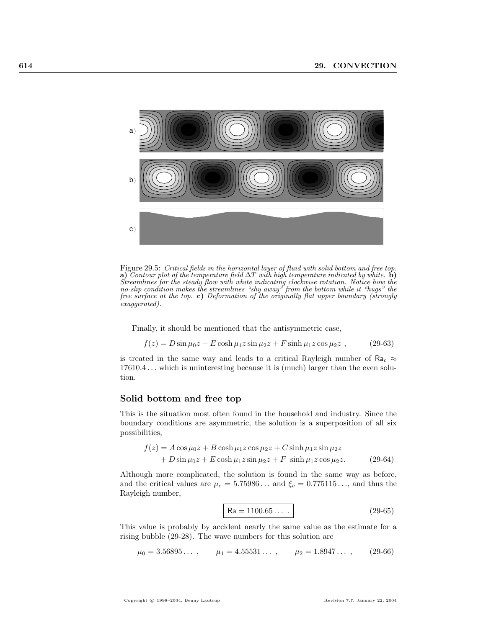

Figure 29.5: Critical fields in the horizontal layer of fluid with solid bottom and free top. a) Contour plot of the temperature field  $\Delta T$  with high temperature indicated by white. **b**) Streamlines for the steady flow with white indicating clockwise rotation. Notice how the no-slip condition makes the streamlines "shy away" from the bottom while it "hugs" the free surface at the top. c) Deformation of the originally flat upper boundary (strongly exaggerated).

Finally, it should be mentioned that the antisymmetric case,

$$
f(z) = D\sin\mu_0 z + E\cosh\mu_1 z \sin\mu_2 z + F\sinh\mu_1 z \cos\mu_2 z ,
$$
 (29-63)

is treated in the same way and leads to a critical Rayleigh number of  $Ra_c \approx$ 17610.4 . . . which is uninteresting because it is (much) larger than the even solution.

#### Solid bottom and free top

This is the situation most often found in the household and industry. Since the boundary conditions are asymmetric, the solution is a superposition of all six possibilities,

$$
f(z) = A\cos\mu_0 z + B\cosh\mu_1 z \cos\mu_2 z + C\sinh\mu_1 z \sin\mu_2 z
$$
  
+ 
$$
D\sin\mu_0 z + E\cosh\mu_1 z \sin\mu_2 z + F\sinh\mu_1 z \cos\mu_2 z.
$$
 (29-64)

Although more complicated, the solution is found in the same way as before, and the critical values are  $\mu_c = 5.75986...$  and  $\xi_c = 0.775115...,$  and thus the Rayleigh number,

$$
Ra = 1100.65... \t(29-65)
$$

This value is probably by accident nearly the same value as the estimate for a rising bubble (29-28). The wave numbers for this solution are

$$
\mu_0 = 3.56895...
$$
,  $\mu_1 = 4.55531...$ ,  $\mu_2 = 1.8947...$ , (29-66)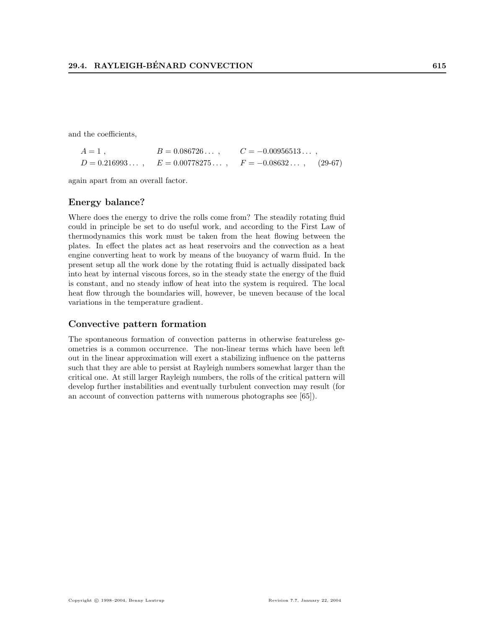and the coefficients,

| $A=1$ , | $B = 0.086726$ , | $C = -0.00956513$                                            |  |
|---------|------------------|--------------------------------------------------------------|--|
|         |                  | $D = 0.216993$ , $E = 0.00778275$ , $F = -0.08632$ , (29-67) |  |

again apart from an overall factor.

# Energy balance?

Where does the energy to drive the rolls come from? The steadily rotating fluid could in principle be set to do useful work, and according to the First Law of thermodynamics this work must be taken from the heat flowing between the plates. In effect the plates act as heat reservoirs and the convection as a heat engine converting heat to work by means of the buoyancy of warm fluid. In the present setup all the work done by the rotating fluid is actually dissipated back into heat by internal viscous forces, so in the steady state the energy of the fluid is constant, and no steady inflow of heat into the system is required. The local heat flow through the boundaries will, however, be uneven because of the local variations in the temperature gradient.

#### Convective pattern formation

The spontaneous formation of convection patterns in otherwise featureless geometries is a common occurrence. The non-linear terms which have been left out in the linear approximation will exert a stabilizing influence on the patterns such that they are able to persist at Rayleigh numbers somewhat larger than the critical one. At still larger Rayleigh numbers, the rolls of the critical pattern will develop further instabilities and eventually turbulent convection may result (for an account of convection patterns with numerous photographs see [65]).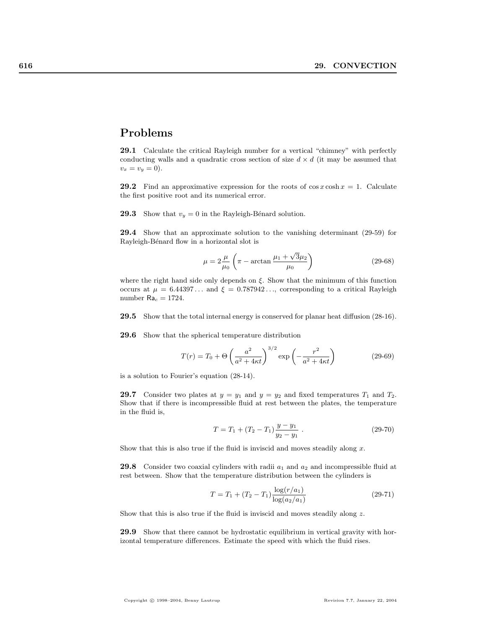# Problems

29.1 Calculate the critical Rayleigh number for a vertical "chimney" with perfectly conducting walls and a quadratic cross section of size  $d \times d$  (it may be assumed that  $v_x = v_y = 0$ .

**29.2** Find an approximative expression for the roots of  $\cos x \cosh x = 1$ . Calculate the first positive root and its numerical error.

**29.3** Show that  $v_y = 0$  in the Rayleigh-Bénard solution.

29.4 Show that an approximate solution to the vanishing determinant (29-59) for Rayleigh-Bénard flow in a horizontal slot is

$$
\mu = 2\frac{\mu}{\mu_0} \left( \pi - \arctan \frac{\mu_1 + \sqrt{3}\mu_2}{\mu_0} \right)
$$
 (29-68)

where the right hand side only depends on  $\xi$ . Show that the minimum of this function occurs at  $\mu = 6.44397...$  and  $\xi = 0.787942...,$  corresponding to a critical Rayleigh number  $Ra_c = 1724$ .

29.5 Show that the total internal energy is conserved for planar heat diffusion (28-16).

29.6 Show that the spherical temperature distribution

$$
T(r) = T_0 + \Theta \left(\frac{a^2}{a^2 + 4\kappa t}\right)^{3/2} \exp\left(-\frac{r^2}{a^2 + 4\kappa t}\right)
$$
 (29-69)

is a solution to Fourier's equation (28-14).

**29.7** Consider two plates at  $y = y_1$  and  $y = y_2$  and fixed temperatures  $T_1$  and  $T_2$ . Show that if there is incompressible fluid at rest between the plates, the temperature in the fluid is,

$$
T = T_1 + (T_2 - T_1) \frac{y - y_1}{y_2 - y_1} \tag{29-70}
$$

Show that this is also true if the fluid is inviscid and moves steadily along  $x$ .

**29.8** Consider two coaxial cylinders with radii  $a_1$  and  $a_2$  and incompressible fluid at rest between. Show that the temperature distribution between the cylinders is

$$
T = T_1 + (T_2 - T_1) \frac{\log(r/a_1)}{\log(a_2/a_1)}\tag{29-71}
$$

Show that this is also true if the fluid is inviscid and moves steadily along z.

29.9 Show that there cannot be hydrostatic equilibrium in vertical gravity with horizontal temperature differences. Estimate the speed with which the fluid rises.